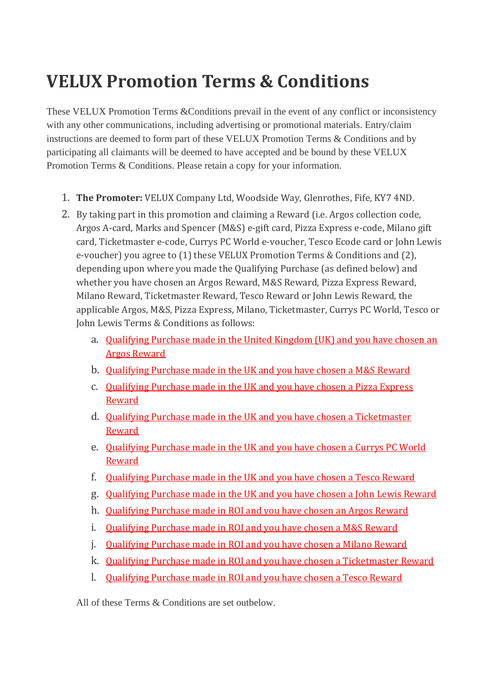# **VELUX Promotion Terms & Conditions**

These VELUX Promotion Terms &Conditions prevail in the event of any conflict or inconsistency with any other communications, including advertising or promotional materials. Entry/claim instructions are deemed to form part of these VELUX Promotion Terms & Conditions and by participating all claimants will be deemed to have accepted and be bound by these VELUX Promotion Terms & Conditions. Please retain a copy for your information.

- 1. **The Promoter:** VELUX Company Ltd, Woodside Way, Glenrothes, Fife, KY7 4ND.
- 2. By taking part in this promotion and claiming a Reward (i.e. Argos collection code, Argos A-card, Marks and Spencer (M&S) e-gift card, Pizza Express e-code, Milano gift card, Ticketmaster e-code, Currys PC World e-voucher, Tesco Ecode card or John Lewis e-voucher) you agree to (1) these VELUX Promotion Terms & Conditions and (2), depending upon where you made the Qualifying Purchase (as defined below) and whether you have chosen an Argos Reward, M&S Reward, Pizza Express Reward, Milano Reward, Ticketmaster Reward, Tesco Reward or John Lewis Reward, the applicable Argos, M&S, Pizza Express, Milano, Ticketmaster, Currys PC World, Tesco or John Lewis Terms & Conditions as follows:
	- a. [Qualifying Purchase made in the United Kingdom \(UK\) and you have chosen an](https://velux.qwasi.com/rewards/terms-sept-oct-2017.php#argos-terms)  [Argos Reward](https://velux.qwasi.com/rewards/terms-sept-oct-2017.php#argos-terms)
	- b. [Qualifying Purchase made in the UK and you have chosen a M&S Reward](https://velux.qwasi.com/rewards/terms-sept-oct-2017.php#ms-terms)
	- c. [Qualifying Purchase made in the UK and you have chosen a Pizza Express](https://velux.qwasi.com/rewards/terms-sept-oct-2017.php#pe-terms)  [Reward](https://velux.qwasi.com/rewards/terms-sept-oct-2017.php#pe-terms)
	- d. [Qualifying Purchase made in the UK and you have chosen a Ticketmaster](https://velux.qwasi.com/rewards/terms-sept-oct-2017.php#tm-terms)  [Reward](https://velux.qwasi.com/rewards/terms-sept-oct-2017.php#tm-terms)
	- e. [Qualifying Purchase made in the UK and you have chosen a Currys PC World](https://velux.qwasi.com/rewards/terms-sept-oct-2017.php#currys-terms)  [Reward](https://velux.qwasi.com/rewards/terms-sept-oct-2017.php#currys-terms)
	- f. [Qualifying Purchase made in the UK and you have chosen a Tesco Reward](https://velux.qwasi.com/rewards/terms-sept-oct-2017.php#tesco-terms)
	- g. [Qualifying Purchase made in the UK and you have chosen a John Lewis Reward](https://velux.qwasi.com/rewards/terms-sept-oct-2017.php#jl-terms)
	- h. [Qualifying Purchase made in ROI and you have](https://velux.qwasi.com/rewards/terms-sept-oct-2017.php#argos2-terms) chosen an Argos Reward
	- i. [Qualifying Purchase made in ROI and you have chosen a M&S Reward](https://velux.qwasi.com/rewards/terms-sept-oct-2017.php#ms2-terms)
	- j. [Qualifying Purchase made in ROI and you have chosen a Milano Reward](https://velux.qwasi.com/rewards/terms-sept-oct-2017.php#milano-terms)
	- k. [Qualifying Purchase made in ROI and you have chosen a Ticketmaster Reward](https://velux.qwasi.com/rewards/terms-sept-oct-2017.php#tm2-terms)
	- l. [Qualifying Purchase made in ROI and you have chosen a Tesco Reward](https://velux.qwasi.com/rewards/terms-sept-oct-2017.php#tesco2-terms)

All of these Terms & Conditions are set outbelow.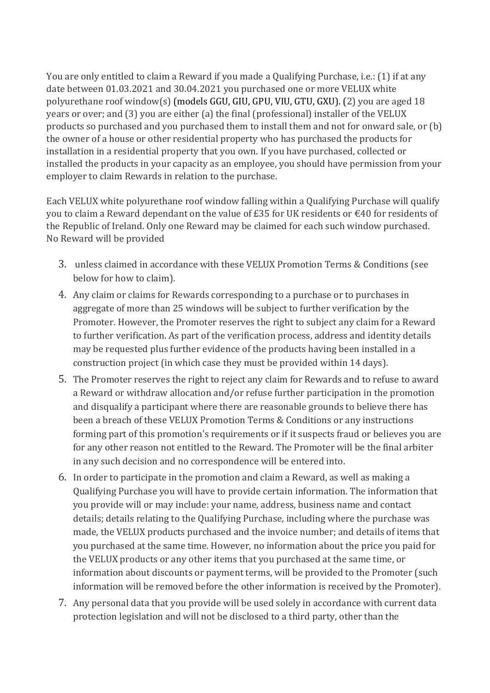You are only entitled to claim a Reward if you made a Qualifying Purchase, i.e.: (1) if at any date between 01.03.2021 and 30.04.2021 you purchased one or more VELUX white polyurethane roof window(s) (models GGU, GIU, GPU, VIU, GTU, GXU). (2) you are aged 18 years or over; and (3) you are either (a) the final (professional) installer of the VELUX products so purchased and you purchased them to install them and not for onward sale, or (b) the owner of a house or other residential property who has purchased the products for installation in a residential property that you own. If you have purchased, collected or installed the products in your capacity as an employee, you should have permission from your employer to claim Rewards in relation to the purchase.

Each VELUX white polyurethane roof window falling within a Qualifying Purchase will qualify you to claim a Reward dependant on the value of £35 for UK residents or €40 for residents of the Republic of Ireland. Only one Reward may be claimed for each such window purchased. No Reward will be provided

- 3. unless claimed in accordance with these VELUX Promotion Terms & Conditions (see below for how to claim).
- 4. Any claim or claims for Rewards corresponding to a purchase or to purchases in aggregate of more than 25 windows will be subject to further verification by the Promoter. However, the Promoter reserves the right to subject any claim for a Reward to further verification. As part of the verification process, address and identity details may be requested plus further evidence of the products having been installed in a construction project (in which case they must be provided within 14 days).
- 5. The Promoter reserves the right to reject any claim for Rewards and to refuse to award a Reward or withdraw allocation and/or refuse further participation in the promotion and disqualify a participant where there are reasonable grounds to believe there has been a breach of these VELUX Promotion Terms & Conditions or any instructions forming part of this promotion's requirements or if it suspects fraud or believes you are for any other reason not entitled to the Reward. The Promoter will be the final arbiter in any such decision and no correspondence will be entered into.
- 6. In order to participate in the promotion and claim a Reward, as well as making a Qualifying Purchase you will have to provide certain information. The information that you provide will or may include: your name, address, business name and contact details; details relating to the Qualifying Purchase, including where the purchase was made, the VELUX products purchased and the invoice number; and details of items that you purchased at the same time. However, no information about the price you paid for the VELUX products or any other items that you purchased at the same time, or information about discounts or payment terms, will be provided to the Promoter (such information will be removed before the other information is received by the Promoter).
- 7. Any personal data that you provide will be used solely in accordance with current data protection legislation and will not be disclosed to a third party, other than the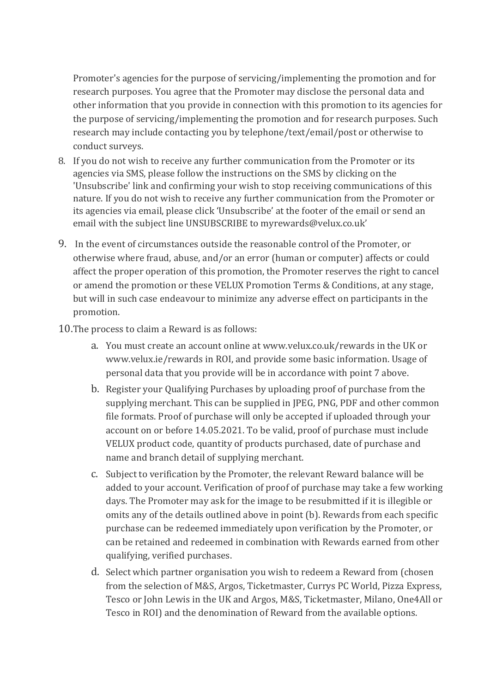Promoter's agencies for the purpose of servicing/implementing the promotion and for research purposes. You agree that the Promoter may disclose the personal data and other information that you provide in connection with this promotion to its agencies for the purpose of servicing/implementing the promotion and for research purposes. Such research may include contacting you by telephone/text/email/post or otherwise to conduct surveys.

- 8. If you do not wish to receive any further communication from the Promoter or its agencies via SMS, please follow the instructions on the SMS by clicking on the 'Unsubscribe' link and confirming your wish to stop receiving communications of this nature. If you do not wish to receive any further communication from the Promoter or its agencies via email, please click 'Unsubscribe' at the footer of the email or send an email with the subject line UNSUBSCRIBE to myrewards@velux.co.uk'
- 9. In the event of circumstances outside the reasonable control of the Promoter, or otherwise where fraud, abuse, and/or an error (human or computer) affects or could affect the proper operation of this promotion, the Promoter reserves the right to cancel or amend the promotion or these VELUX Promotion Terms & Conditions, at any stage, but will in such case endeavour to minimize any adverse effect on participants in the promotion.
- 10.The process to claim a Reward is as follows:
	- a. You must create an account online at www.velux.co.uk/rewards in the UK or www.velux.ie/rewards in ROI, and provide some basic information. Usage of personal data that you provide will be in accordance with point 7 above.
	- b. Register your Qualifying Purchases by uploading proof of purchase from the supplying merchant. This can be supplied in JPEG, PNG, PDF and other common file formats. Proof of purchase will only be accepted if uploaded through your account on or before 14.05.2021. To be valid, proof of purchase must include VELUX product code, quantity of products purchased, date of purchase and name and branch detail of supplying merchant.
	- c. Subject to verification by the Promoter, the relevant Reward balance will be added to your account. Verification of proof of purchase may take a few working days. The Promoter may ask for the image to be resubmitted if it is illegible or omits any of the details outlined above in point (b). Rewards from each specific purchase can be redeemed immediately upon verification by the Promoter, or can be retained and redeemed in combination with Rewards earned from other qualifying, verified purchases.
	- d. Select which partner organisation you wish to redeem a Reward from (chosen from the selection of M&S, Argos, Ticketmaster, Currys PC World, Pizza Express, Tesco or John Lewis in the UK and Argos, M&S, Ticketmaster, Milano, One4All or Tesco in ROI) and the denomination of Reward from the available options.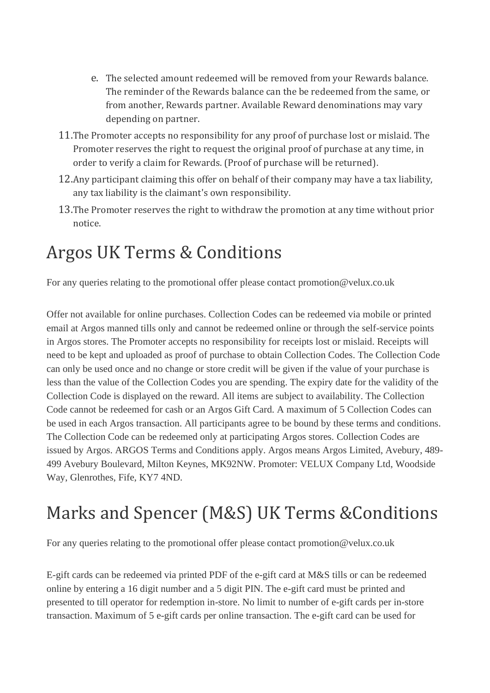- e. The selected amount redeemed will be removed from your Rewards balance. The reminder of the Rewards balance can the be redeemed from the same, or from another, Rewards partner. Available Reward denominations may vary depending on partner.
- 11.The Promoter accepts no responsibility for any proof of purchase lost or mislaid. The Promoter reserves the right to request the original proof of purchase at any time, in order to verify a claim for Rewards. (Proof of purchase will be returned).
- 12.Any participant claiming this offer on behalf of their company may have a tax liability, any tax liability is the claimant's own responsibility.
- 13.The Promoter reserves the right to withdraw the promotion at any time without prior notice.

## Argos UK Terms & Conditions

For any queries relating to the promotional offer please contact promotion@velux.co.uk

Offer not available for online purchases. Collection Codes can be redeemed via mobile or printed email at Argos manned tills only and cannot be redeemed online or through the self-service points in Argos stores. The Promoter accepts no responsibility for receipts lost or mislaid. Receipts will need to be kept and uploaded as proof of purchase to obtain Collection Codes. The Collection Code can only be used once and no change or store credit will be given if the value of your purchase is less than the value of the Collection Codes you are spending. The expiry date for the validity of the Collection Code is displayed on the reward. All items are subject to availability. The Collection Code cannot be redeemed for cash or an Argos Gift Card. A maximum of 5 Collection Codes can be used in each Argos transaction. All participants agree to be bound by these terms and conditions. The Collection Code can be redeemed only at participating Argos stores. Collection Codes are issued by Argos. ARGOS Terms and Conditions apply. Argos means Argos Limited, Avebury, 489- 499 Avebury Boulevard, Milton Keynes, MK92NW. Promoter: VELUX Company Ltd, Woodside Way, Glenrothes, Fife, KY7 4ND.

## Marks and Spencer (M&S) UK Terms &Conditions

For any queries relating to the promotional offer please contact promotion@velux.co.uk

E-gift cards can be redeemed via printed PDF of the e-gift card at M&S tills or can be redeemed online by entering a 16 digit number and a 5 digit PIN. The e-gift card must be printed and presented to till operator for redemption in-store. No limit to number of e-gift cards per in-store transaction. Maximum of 5 e-gift cards per online transaction. The e-gift card can be used for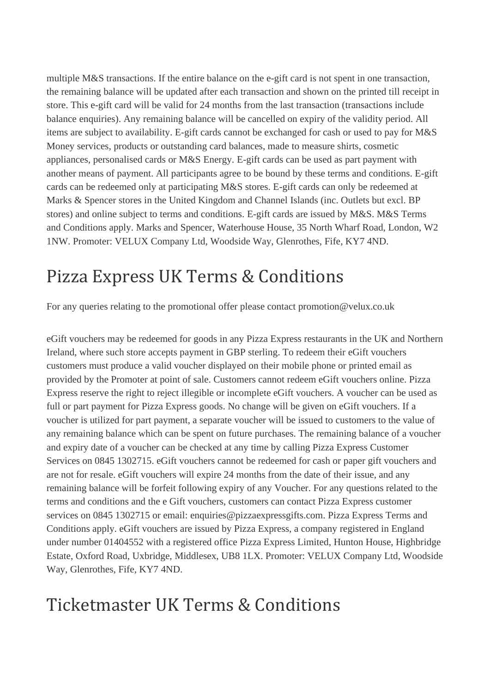multiple M&S transactions. If the entire balance on the e-gift card is not spent in one transaction, the remaining balance will be updated after each transaction and shown on the printed till receipt in store. This e-gift card will be valid for 24 months from the last transaction (transactions include balance enquiries). Any remaining balance will be cancelled on expiry of the validity period. All items are subject to availability. E-gift cards cannot be exchanged for cash or used to pay for M&S Money services, products or outstanding card balances, made to measure shirts, cosmetic appliances, personalised cards or M&S Energy. E-gift cards can be used as part payment with another means of payment. All participants agree to be bound by these terms and conditions. E-gift cards can be redeemed only at participating M&S stores. E-gift cards can only be redeemed at Marks & Spencer stores in the United Kingdom and Channel Islands (inc. Outlets but excl. BP stores) and online subject to terms and conditions. E-gift cards are issued by M&S. M&S Terms and Conditions apply. Marks and Spencer, Waterhouse House, 35 North Wharf Road, London, W2 1NW. Promoter: VELUX Company Ltd, Woodside Way, Glenrothes, Fife, KY7 4ND.

## Pizza Express UK Terms & Conditions

For any queries relating to the promotional offer please contact promotion@velux.co.uk

eGift vouchers may be redeemed for goods in any Pizza Express restaurants in the UK and Northern Ireland, where such store accepts payment in GBP sterling. To redeem their eGift vouchers customers must produce a valid voucher displayed on their mobile phone or printed email as provided by the Promoter at point of sale. Customers cannot redeem eGift vouchers online. Pizza Express reserve the right to reject illegible or incomplete eGift vouchers. A voucher can be used as full or part payment for Pizza Express goods. No change will be given on eGift vouchers. If a voucher is utilized for part payment, a separate voucher will be issued to customers to the value of any remaining balance which can be spent on future purchases. The remaining balance of a voucher and expiry date of a voucher can be checked at any time by calling Pizza Express Customer Services on 0845 1302715. eGift vouchers cannot be redeemed for cash or paper gift vouchers and are not for resale. eGift vouchers will expire 24 months from the date of their issue, and any remaining balance will be forfeit following expiry of any Voucher. For any questions related to the terms and conditions and the e Gift vouchers, customers can contact Pizza Express customer services on 0845 1302715 or email: enquiries@pizzaexpressgifts.com. Pizza Express Terms and Conditions apply. eGift vouchers are issued by Pizza Express, a company registered in England under number 01404552 with a registered office Pizza Express Limited, Hunton House, Highbridge Estate, Oxford Road, Uxbridge, Middlesex, UB8 1LX. Promoter: VELUX Company Ltd, Woodside Way, Glenrothes, Fife, KY7 4ND.

#### Ticketmaster UK Terms & Conditions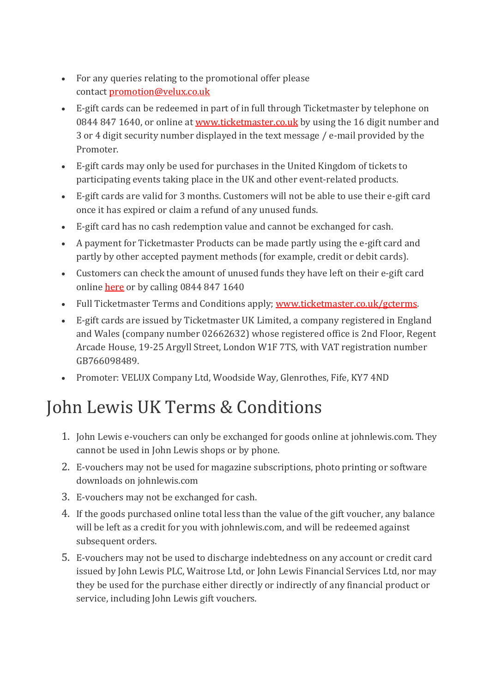- For any queries relating to the promotional offer please contact [promotion@velux.co.uk](mailto:promotion@velux.co.uk)
- E-gift cards can be redeemed in part of in full through Ticketmaster by telephone on 0844 847 1640, or online at [www.ticketmaster.co.uk](http://www.ticketmaster.co.uk/) by using the 16 digit number and 3 or 4 digit security number displayed in the text message / e-mail provided by the Promoter.
- E-gift cards may only be used for purchases in the United Kingdom of tickets to participating events taking place in the UK and other event-related products.
- E-gift cards are valid for 3 months. Customers will not be able to use their e-gift card once it has expired or claim a refund of any unused funds.
- E-gift card has no cash redemption value and cannot be exchanged for cash.
- A payment for Ticketmaster Products can be made partly using the e-gift card and partly by other accepted payment methods (for example, credit or debit cards).
- Customers can check the amount of unused funds they have left on their e-gift card online [here](http://www.ticketmaster.co.uk/giftcards/balance_inquiry) or by calling 0844 847 1640
- Full Ticketmaster Terms and Conditions apply; [www.ticketmaster.co.uk/gcterms.](http://www.ticketmaster.co.uk/gcterms)
- E-gift cards are issued by Ticketmaster UK Limited, a company registered in England and Wales (company number 02662632) whose registered office is 2nd Floor, Regent Arcade House, 19-25 Argyll Street, London W1F 7TS, with VAT registration number GB766098489.
- Promoter: VELUX Company Ltd, Woodside Way, Glenrothes, Fife, KY7 4ND

## John Lewis UK Terms & Conditions

- 1. John Lewis e-vouchers can only be exchanged for goods online at johnlewis.com. They cannot be used in John Lewis shops or by phone.
- 2. E-vouchers may not be used for magazine subscriptions, photo printing or software downloads on johnlewis.com
- 3. E-vouchers may not be exchanged for cash.
- 4. If the goods purchased online total less than the value of the gift voucher, any balance will be left as a credit for you with johnlewis.com, and will be redeemed against subsequent orders.
- 5. E-vouchers may not be used to discharge indebtedness on any account or credit card issued by John Lewis PLC, Waitrose Ltd, or John Lewis Financial Services Ltd, nor may they be used for the purchase either directly or indirectly of any financial product or service, including John Lewis gift vouchers.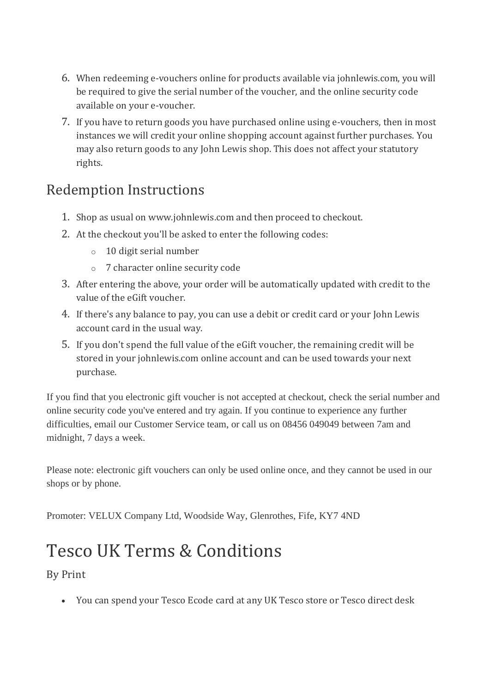- 6. When redeeming e-vouchers online for products available via johnlewis.com, you will be required to give the serial number of the voucher, and the online security code available on your e-voucher.
- 7. If you have to return goods you have purchased online using e-vouchers, then in most instances we will credit your online shopping account against further purchases. You may also return goods to any John Lewis shop. This does not affect your statutory rights.

#### Redemption Instructions

- 1. Shop as usual on www.johnlewis.com and then proceed to checkout.
- 2. At the checkout you'll be asked to enter the following codes:
	- o 10 digit serial number
	- o 7 character online security code
- 3. After entering the above, your order will be automatically updated with credit to the value of the eGift voucher.
- 4. If there's any balance to pay, you can use a debit or credit card or your John Lewis account card in the usual way.
- 5. If you don't spend the full value of the eGift voucher, the remaining credit will be stored in your johnlewis.com online account and can be used towards your next purchase.

If you find that you electronic gift voucher is not accepted at checkout, check the serial number and online security code you've entered and try again. If you continue to experience any further difficulties, email our Customer Service team, or call us on 08456 049049 between 7am and midnight, 7 days a week.

Please note: electronic gift vouchers can only be used online once, and they cannot be used in our shops or by phone.

Promoter: VELUX Company Ltd, Woodside Way, Glenrothes, Fife, KY7 4ND

## Tesco UK Terms & Conditions

By Print

• You can spend your Tesco Ecode card at any UK Tesco store or Tesco direct desk